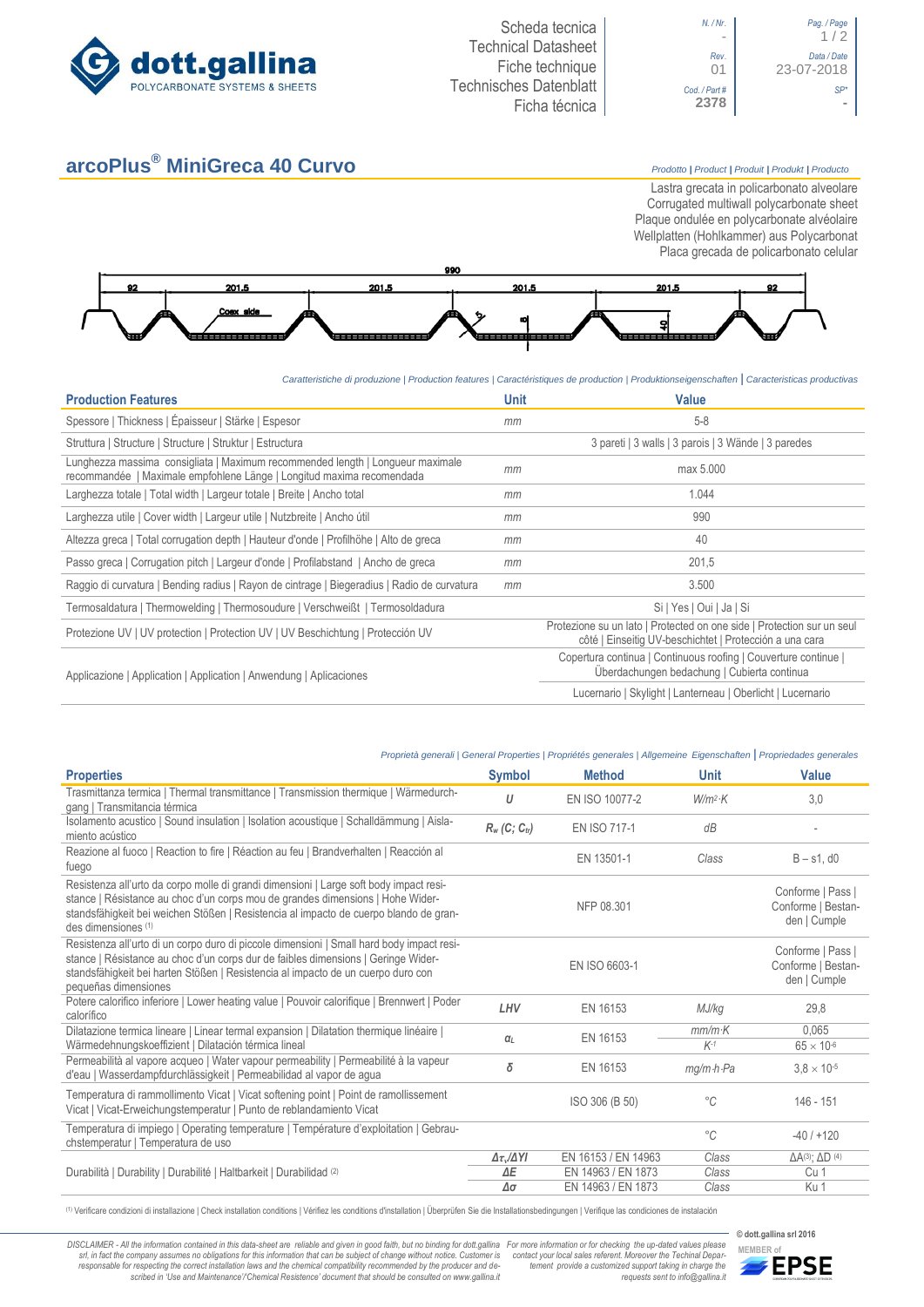

**arcoPlus® MiniGreca 40 Curvo** *Prodotto <sup>|</sup> Product <sup>|</sup> Produit <sup>|</sup> Produkt <sup>|</sup> Producto*

01 23-07-2018

Lastra grecata in policarbonato alveolare Corrugated multiwall polycarbonate sheet Plaque ondulée en polycarbonate alvéolaire Wellplatten (Hohlkammer) aus Polycarbonat Placa grecada de policarbonato celular



*Caratteristiche di produzione | Production features | Caractéristiques de production | Produktionseigenschaften* **|** *Caracteristicas productivas*

| <b>Production Features</b>                                                                                                                              | <b>Unit</b> | <b>Value</b>                                                                                                                      |  |  |
|---------------------------------------------------------------------------------------------------------------------------------------------------------|-------------|-----------------------------------------------------------------------------------------------------------------------------------|--|--|
| Spessore   Thickness   Épaisseur   Stärke   Espesor                                                                                                     | mm          | $5 - 8$                                                                                                                           |  |  |
| Struttura   Structure   Structure   Struktur   Estructura                                                                                               |             | 3 pareti   3 walls   3 parois   3 Wände   3 paredes                                                                               |  |  |
| Lunghezza massima consigliata   Maximum recommended length   Longueur maximale<br>recommandée   Maximale empfohlene Länge   Longitud maxima recomendada | mm          | max 5.000                                                                                                                         |  |  |
| Larghezza totale   Total width   Largeur totale   Breite   Ancho total                                                                                  | mm          | 1.044                                                                                                                             |  |  |
| Larghezza utile   Cover width   Largeur utile   Nutzbreite   Ancho útil                                                                                 | mm          | 990                                                                                                                               |  |  |
| Altezza greca   Total corrugation depth   Hauteur d'onde   Profilhöhe   Alto de greca                                                                   | mm          | 40                                                                                                                                |  |  |
| Passo greca   Corrugation pitch   Largeur d'onde   Profilabstand   Ancho de greca                                                                       | mm          | 201,5                                                                                                                             |  |  |
| Raggio di curvatura   Bending radius   Rayon de cintrage   Biegeradius   Radio de curvatura<br>mm                                                       |             | 3.500                                                                                                                             |  |  |
| Termosaldatura   Thermowelding   Thermosoudure   Verschweißt   Termosoldadura                                                                           |             | Si   Yes   Oui   Ja   Si                                                                                                          |  |  |
| Protezione UV   UV protection   Protection UV   UV Beschichtung   Protección UV                                                                         |             | Protezione su un lato   Protected on one side   Protection sur un seul<br>côté   Einseitig UV-beschichtet   Protección a una cara |  |  |
| Applicazione   Application   Application   Anwendung   Aplicaciones                                                                                     |             | Copertura continua   Continuous roofing   Couverture continue  <br>Überdachungen bedachung   Cubierta continua                    |  |  |
|                                                                                                                                                         |             | Lucernario   Skylight   Lanterneau   Oberlicht   Lucernario                                                                       |  |  |

## *Proprietà generali | General Properties | Propriétés generales | Allgemeine Eigenschaften* **|** *Propriedades generales*

| <b>Properties</b>                                                                                                                                                                                                                                                                          | <b>Symbol</b>               | <b>Method</b>       | <b>Unit</b>             | Value                                                   |
|--------------------------------------------------------------------------------------------------------------------------------------------------------------------------------------------------------------------------------------------------------------------------------------------|-----------------------------|---------------------|-------------------------|---------------------------------------------------------|
| Trasmittanza termica   Thermal transmittance   Transmission thermique   Wärmedurch-<br>gang   Transmitancia térmica                                                                                                                                                                        | U                           | EN ISO 10077-2      | $W/m^2$ ·K              | 3.0                                                     |
| Isolamento acustico   Sound insulation   Isolation acoustique   Schalldämmung   Aisla-<br>miento acústico                                                                                                                                                                                  | $R_w$ (C; C <sub>tr</sub> ) | <b>EN ISO 717-1</b> | dB                      |                                                         |
| Reazione al fuoco   Reaction to fire   Réaction au feu   Brandverhalten   Reacción al<br>fuego                                                                                                                                                                                             |                             | EN 13501-1          | Class                   | $B - s1$ , d $0$                                        |
| Resistenza all'urto da corpo molle di grandi dimensioni   Large soft body impact resi-<br>stance   Résistance au choc d'un corps mou de grandes dimensions   Hohe Wider-<br>standsfähigkeit bei weichen Stößen   Resistencia al impacto de cuerpo blando de gran-<br>des dimensiones (1)   |                             | NFP 08.301          |                         | Conforme   Pass  <br>Conforme   Bestan-<br>den   Cumple |
| Resistenza all'urto di un corpo duro di piccole dimensioni   Small hard body impact resi-<br>stance   Résistance au choc d'un corps dur de faibles dimensions   Geringe Wider-<br>standsfähigkeit bei harten Stößen   Resistencia al impacto de un cuerpo duro con<br>pequeñas dimensiones |                             | EN ISO 6603-1       |                         | Conforme   Pass  <br>Conforme   Bestan-<br>den   Cumple |
| Potere calorifico inferiore   Lower heating value   Pouvoir calorifique   Brennwert   Poder<br>calorífico                                                                                                                                                                                  | LHV                         | EN 16153            | MJ/kg                   | 29.8                                                    |
| Dilatazione termica lineare   Linear termal expansion   Dilatation thermique linéaire  <br>Wärmedehnungskoeffizient   Dilatación térmica lineal                                                                                                                                            | $\alpha_L$                  | EN 16153            | $mm/m\cdot K$<br>$K-1$  | 0.065<br>$65 \times 10^{-6}$                            |
| Permeabilità al vapore acqueo   Water vapour permeability   Permeabilité à la vapeur<br>d'eau   Wasserdampfdurchlässigkeit   Permeabilidad al vapor de agua                                                                                                                                | δ                           | EN 16153            | $mg/m \cdot h \cdot Pa$ | $3,8 \times 10^{-5}$                                    |
| Temperatura di rammollimento Vicat   Vicat softening point   Point de ramollissement<br>Vicat   Vicat-Erweichungstemperatur   Punto de reblandamiento Vicat                                                                                                                                |                             | ISO 306 (B 50)      | $^{\circ}C$             | 146 - 151                                               |
| Temperatura di impiego   Operating temperature   Température d'exploitation   Gebrau-<br>chstemperatur   Temperatura de uso                                                                                                                                                                |                             |                     | $^{\circ}C$             | $-40/+120$                                              |
|                                                                                                                                                                                                                                                                                            | $\Delta \tau_v/\Delta Y I$  | EN 16153 / EN 14963 | Class                   | $\Delta A^{(3)}$ ; $\Delta D^{(4)}$                     |
| Durabilità   Durability   Durabilité   Haltbarkeit   Durabilidad (2)                                                                                                                                                                                                                       | ΔE                          | EN 14963 / EN 1873  | Class                   | Cu 1                                                    |
|                                                                                                                                                                                                                                                                                            | Δσ                          | EN 14963 / EN 1873  | Class                   | Ku 1                                                    |

(1) Verificare condizioni di installazione | Check installation conditions | Vérifiez les conditions d'installation | Überprüfen Sie die Installationsbedingungen | Verifique las condiciones de instalación

DISCLAIMER - All the information contained in this data-sheet are reliable and given in good faith, but no binding for dott.gallina For more information or for checking the up-dated values please<br>-srl, in fact the company -responsable for respecting the correct installation laws and the chemical compatibility recommended by the producer and de-<br>scribed in 'Use and Maintenance'/'Chemical Resistence' document that should be consulted on www.g

*tement provide a customized support taking in charge the requests sent to info@gallina.it*



**© dott.gallina srl 2016**